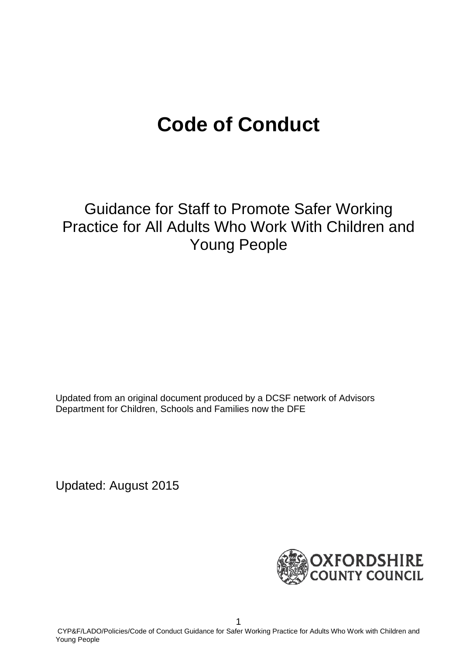# **Code of Conduct**

Guidance for Staff to Promote Safer Working Practice for All Adults Who Work With Children and Young People

Updated from an original document produced by a DCSF network of Advisors Department for Children, Schools and Families now the DFE

Updated: August 2015

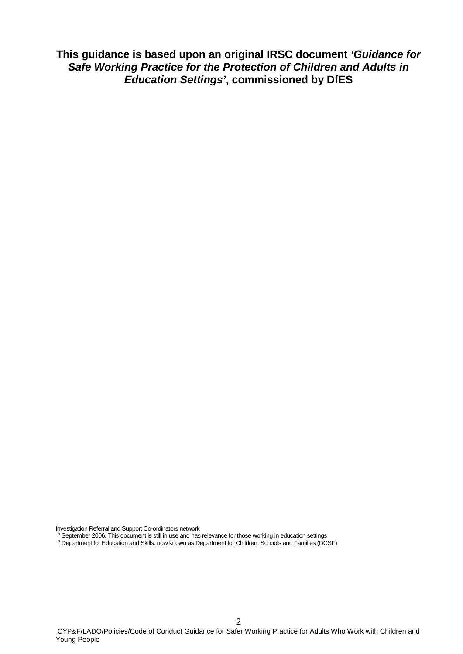**This guidance is based upon an original IRSC document** *'Guidance for Safe Working Practice for the Protection of Children and Adults in Education Settings'***, commissioned by DfES**

Investigation Referral and Support Co-ordinators network

 $^2$  September 2006. This document is still in use and has relevance for those working in education settings

<sup>3</sup> Department for Education and Skills. now known as Department for Children, Schools and Families (DCSF)

2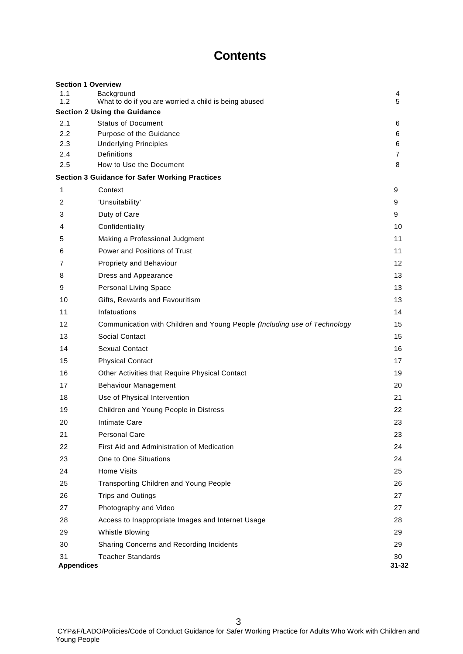# **Contents**

|                   | <b>Section 1 Overview</b>                                                 |           |
|-------------------|---------------------------------------------------------------------------|-----------|
| 1.1<br>1.2        | Background<br>What to do if you are worried a child is being abused       | 4<br>5    |
|                   | <b>Section 2 Using the Guidance</b>                                       |           |
| 2.1               | <b>Status of Document</b>                                                 | 6         |
| 2.2               | Purpose of the Guidance                                                   | 6         |
| 2.3               | <b>Underlying Principles</b>                                              | 6         |
| 2.4<br>2.5        | <b>Definitions</b><br>How to Use the Document                             | 7<br>8    |
|                   | <b>Section 3 Guidance for Safer Working Practices</b>                     |           |
| 1                 | Context                                                                   | 9         |
| 2                 |                                                                           | 9         |
|                   | 'Unsuitability'                                                           |           |
| 3                 | Duty of Care                                                              | 9         |
| 4                 | Confidentiality                                                           | 10        |
| 5                 | Making a Professional Judgment                                            | 11        |
| 6                 | Power and Positions of Trust                                              | 11        |
| 7                 | <b>Propriety and Behaviour</b>                                            | 12        |
| 8                 | Dress and Appearance                                                      | 13        |
| 9                 | Personal Living Space                                                     | 13        |
| 10                | Gifts, Rewards and Favouritism                                            | 13        |
| 11                | Infatuations                                                              | 14        |
| 12                | Communication with Children and Young People (Including use of Technology | 15        |
| 13                | <b>Social Contact</b>                                                     | 15        |
| 14                | <b>Sexual Contact</b>                                                     | 16        |
| 15                | <b>Physical Contact</b>                                                   | 17        |
| 16                | Other Activities that Require Physical Contact                            | 19        |
| 17                | <b>Behaviour Management</b>                                               | 20        |
| 18                | Use of Physical Intervention                                              | 21        |
| 19                | Children and Young People in Distress                                     | 22        |
| 20                | Intimate Care                                                             | 23        |
| 21                | <b>Personal Care</b>                                                      | 23        |
| 22                | First Aid and Administration of Medication                                | 24        |
| 23                | One to One Situations                                                     | 24        |
| 24                | <b>Home Visits</b>                                                        | 25        |
| 25                | Transporting Children and Young People                                    | 26        |
| 26                | <b>Trips and Outings</b>                                                  | 27        |
| 27                | Photography and Video                                                     | 27        |
| 28                | Access to Inappropriate Images and Internet Usage                         | 28        |
| 29                | Whistle Blowing                                                           | 29        |
| 30                | Sharing Concerns and Recording Incidents                                  | 29        |
| 31                | <b>Teacher Standards</b>                                                  | 30        |
| <b>Appendices</b> |                                                                           | $31 - 32$ |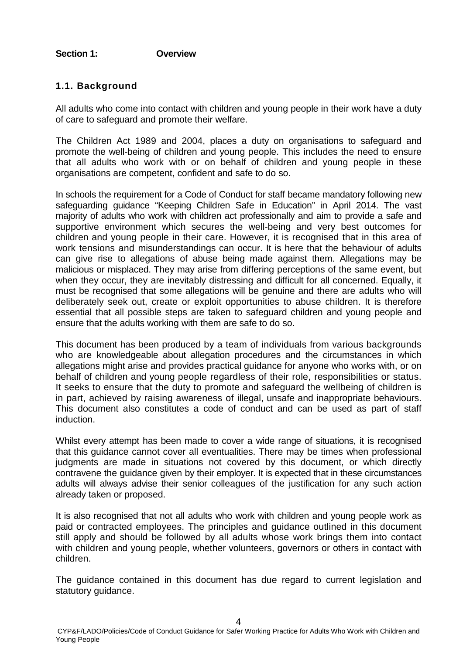# **Section 1: Overview**

# **1.1. Background**

All adults who come into contact with children and young people in their work have a duty of care to safeguard and promote their welfare.

The Children Act 1989 and 2004, places a duty on organisations to safeguard and promote the well-being of children and young people. This includes the need to ensure that all adults who work with or on behalf of children and young people in these organisations are competent, confident and safe to do so.

In schools the requirement for a Code of Conduct for staff became mandatory following new safeguarding guidance "Keeping Children Safe in Education" in April 2014. The vast majority of adults who work with children act professionally and aim to provide a safe and supportive environment which secures the well-being and very best outcomes for children and young people in their care. However, it is recognised that in this area of work tensions and misunderstandings can occur. It is here that the behaviour of adults can give rise to allegations of abuse being made against them. Allegations may be malicious or misplaced. They may arise from differing perceptions of the same event, but when they occur, they are inevitably distressing and difficult for all concerned. Equally, it must be recognised that some allegations will be genuine and there are adults who will deliberately seek out, create or exploit opportunities to abuse children. It is therefore essential that all possible steps are taken to safeguard children and young people and ensure that the adults working with them are safe to do so.

This document has been produced by a team of individuals from various backgrounds who are knowledgeable about allegation procedures and the circumstances in which allegations might arise and provides practical guidance for anyone who works with, or on behalf of children and young people regardless of their role, responsibilities or status. It seeks to ensure that the duty to promote and safeguard the wellbeing of children is in part, achieved by raising awareness of illegal, unsafe and inappropriate behaviours. This document also constitutes a code of conduct and can be used as part of staff induction.

Whilst every attempt has been made to cover a wide range of situations, it is recognised that this guidance cannot cover all eventualities. There may be times when professional judgments are made in situations not covered by this document, or which directly contravene the guidance given by their employer. It is expected that in these circumstances adults will always advise their senior colleagues of the justification for any such action already taken or proposed.

It is also recognised that not all adults who work with children and young people work as paid or contracted employees. The principles and guidance outlined in this document still apply and should be followed by all adults whose work brings them into contact with children and young people, whether volunteers, governors or others in contact with children.

The guidance contained in this document has due regard to current legislation and statutory guidance.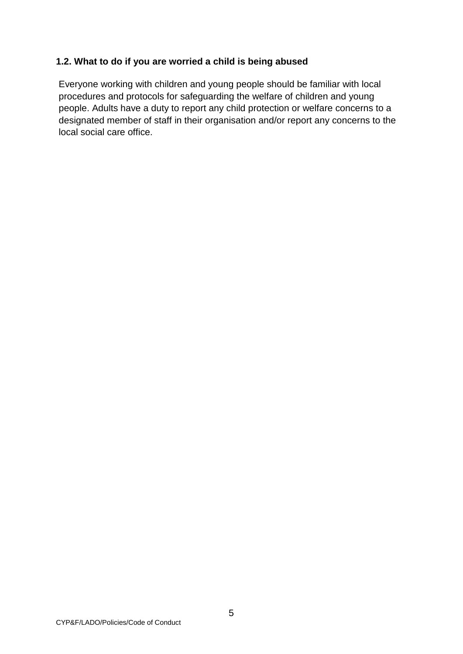# **1.2. What to do if you are worried a child is being abused**

Everyone working with children and young people should be familiar with local procedures and protocols for safeguarding the welfare of children and young people. Adults have a duty to report any child protection or welfare concerns to a designated member of staff in their organisation and/or report any concerns to the local social care office.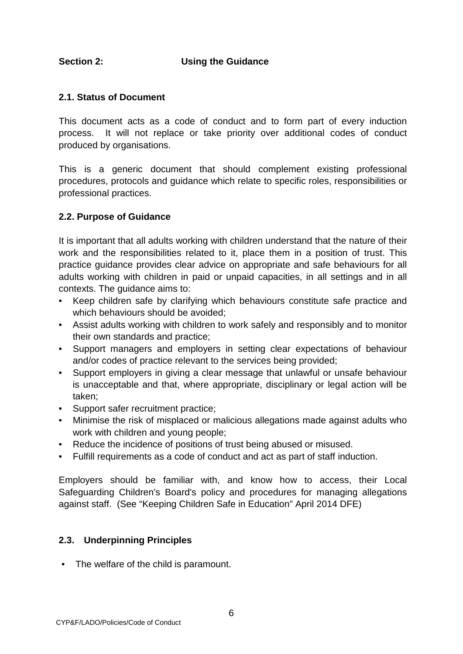# **Section 2: Using the Guidance**

# **2.1. Status of Document**

This document acts as a code of conduct and to form part of every induction process. It will not replace or take priority over additional codes of conduct produced by organisations.

This is a generic document that should complement existing professional procedures, protocols and guidance which relate to specific roles, responsibilities or professional practices.

# **2.2. Purpose of Guidance**

It is important that all adults working with children understand that the nature of their work and the responsibilities related to it, place them in a position of trust. This practice guidance provides clear advice on appropriate and safe behaviours for all adults working with children in paid or unpaid capacities, in all settings and in all contexts. The guidance aims to:

- Keep children safe by clarifying which behaviours constitute safe practice and which behaviours should be avoided;
- Assist adults working with children to work safely and responsibly and to monitor their own standards and practice;
- Support managers and employers in setting clear expectations of behaviour and/or codes of practice relevant to the services being provided;
- Support employers in giving a clear message that unlawful or unsafe behaviour is unacceptable and that, where appropriate, disciplinary or legal action will be taken;
- Support safer recruitment practice;
- Minimise the risk of misplaced or malicious allegations made against adults who work with children and young people;
- Reduce the incidence of positions of trust being abused or misused.
- Fulfill requirements as a code of conduct and act as part of staff induction.

Employers should be familiar with, and know how to access, their Local Safeguarding Children's Board's policy and procedures for managing allegations against staff. (See "Keeping Children Safe in Education" April 2014 DFE)

# **2.3. Underpinning Principles**

• The welfare of the child is paramount.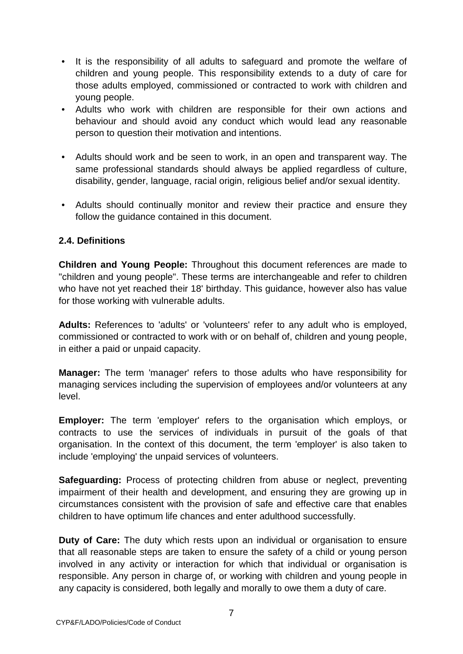- It is the responsibility of all adults to safeguard and promote the welfare of children and young people. This responsibility extends to a duty of care for those adults employed, commissioned or contracted to work with children and young people.
- Adults who work with children are responsible for their own actions and behaviour and should avoid any conduct which would lead any reasonable person to question their motivation and intentions.
- Adults should work and be seen to work, in an open and transparent way. The same professional standards should always be applied regardless of culture, disability, gender, language, racial origin, religious belief and/or sexual identity.
- Adults should continually monitor and review their practice and ensure they follow the guidance contained in this document.

# **2.4. Definitions**

**Children and Young People:** Throughout this document references are made to "children and young people". These terms are interchangeable and refer to children who have not yet reached their 18' birthday. This guidance, however also has value for those working with vulnerable adults.

**Adults:** References to 'adults' or 'volunteers' refer to any adult who is employed, commissioned or contracted to work with or on behalf of, children and young people, in either a paid or unpaid capacity.

**Manager:** The term 'manager' refers to those adults who have responsibility for managing services including the supervision of employees and/or volunteers at any level.

**Employer:** The term 'employer' refers to the organisation which employs, or contracts to use the services of individuals in pursuit of the goals of that organisation. In the context of this document, the term 'employer' is also taken to include 'employing' the unpaid services of volunteers.

**Safeguarding:** Process of protecting children from abuse or neglect, preventing impairment of their health and development, and ensuring they are growing up in circumstances consistent with the provision of safe and effective care that enables children to have optimum life chances and enter adulthood successfully.

**Duty of Care:** The duty which rests upon an individual or organisation to ensure that all reasonable steps are taken to ensure the safety of a child or young person involved in any activity or interaction for which that individual or organisation is responsible. Any person in charge of, or working with children and young people in any capacity is considered, both legally and morally to owe them a duty of care.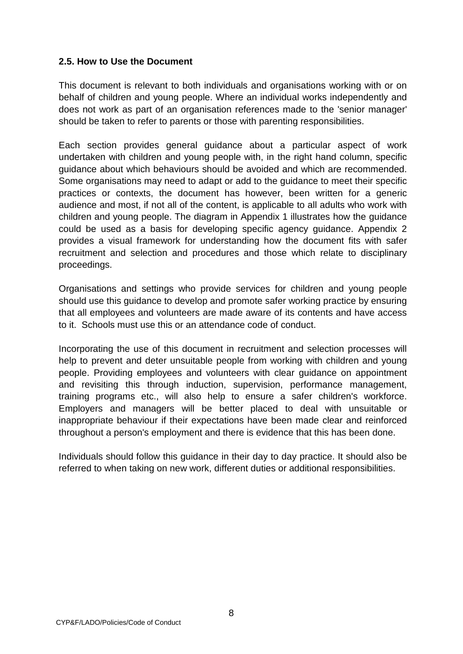# **2.5. How to Use the Document**

This document is relevant to both individuals and organisations working with or on behalf of children and young people. Where an individual works independently and does not work as part of an organisation references made to the 'senior manager' should be taken to refer to parents or those with parenting responsibilities.

Each section provides general guidance about a particular aspect of work undertaken with children and young people with, in the right hand column, specific guidance about which behaviours should be avoided and which are recommended. Some organisations may need to adapt or add to the guidance to meet their specific practices or contexts, the document has however, been written for a generic audience and most, if not all of the content, is applicable to all adults who work with children and young people. The diagram in Appendix 1 illustrates how the guidance could be used as a basis for developing specific agency guidance. Appendix 2 provides a visual framework for understanding how the document fits with safer recruitment and selection and procedures and those which relate to disciplinary proceedings.

Organisations and settings who provide services for children and young people should use this guidance to develop and promote safer working practice by ensuring that all employees and volunteers are made aware of its contents and have access to it. Schools must use this or an attendance code of conduct.

Incorporating the use of this document in recruitment and selection processes will help to prevent and deter unsuitable people from working with children and young people. Providing employees and volunteers with clear guidance on appointment and revisiting this through induction, supervision, performance management, training programs etc., will also help to ensure a safer children's workforce. Employers and managers will be better placed to deal with unsuitable or inappropriate behaviour if their expectations have been made clear and reinforced throughout a person's employment and there is evidence that this has been done.

Individuals should follow this guidance in their day to day practice. It should also be referred to when taking on new work, different duties or additional responsibilities.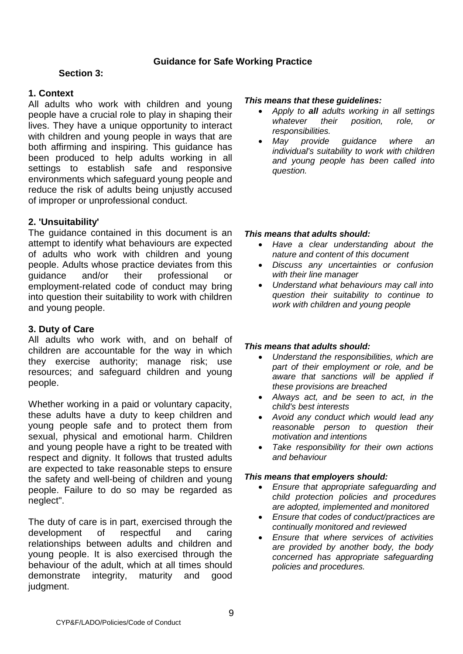# **Guidance for Safe Working Practice**

# **Section 3:**

# **1. Context**

All adults who work with children and young people have a crucial role to play in shaping their lives. They have a unique opportunity to interact with children and young people in ways that are both affirming and inspiring. This guidance has been produced to help adults working in all settings to establish safe and responsive environments which safeguard young people and reduce the risk of adults being unjustly accused of improper or unprofessional conduct.

# **2. 'Unsuitability'**

The guidance contained in this document is an attempt to identify what behaviours are expected of adults who work with children and young people. Adults whose practice deviates from this guidance and/or their professional or employment-related code of conduct may bring into question their suitability to work with children and young people.

# **3. Duty of Care**

All adults who work with, and on behalf of children are accountable for the way in which they exercise authority; manage risk; use resources; and safeguard children and young people.

Whether working in a paid or voluntary capacity, these adults have a duty to keep children and young people safe and to protect them from sexual, physical and emotional harm. Children and young people have a right to be treated with respect and dignity. It follows that trusted adults are expected to take reasonable steps to ensure the safety and well-being of children and young people. Failure to do so may be regarded as neglect".

The duty of care is in part, exercised through the development of respectful and caring relationships between adults and children and young people. It is also exercised through the behaviour of the adult, which at all times should demonstrate integrity, maturity and good judgment.

#### *This means that these guidelines:*

- *Apply to all adults working in all settings whatever their position, role, or responsibilities.*
- *May provide guidance where an individual's suitability to work with children and young people has been called into question.*

#### *This means that adults should:*

- *Have a clear understanding about the nature and content of this document*
- *Discuss any uncertainties or confusion with their line manager*
- *Understand what behaviours may call into question their suitability to continue to work with children and young people*

# *This means that adults should:*

- *Understand the responsibilities, which are part of their employment or role, and be aware that sanctions will be applied if these provisions are breached*
- *Always act, and be seen to act, in the child's best interests*
- *Avoid any conduct which would lead any reasonable person to question their motivation and intentions*
- *Take responsibility for their own actions and behaviour*

#### *This means that employers should:*

- *Ensure that appropriate safeguarding and child protection policies and procedures are adopted, implemented and monitored*
- *Ensure that codes of conduct/practices are continually monitored and reviewed*
- *Ensure that where services of activities are provided by another body, the body concerned has appropriate safeguarding policies and procedures.*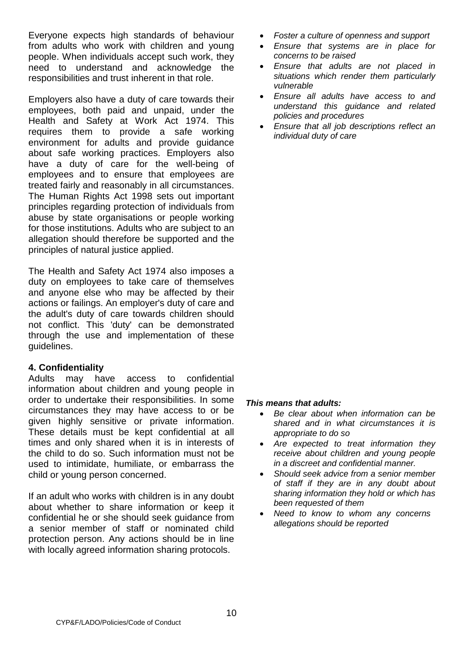Everyone expects high standards of behaviour from adults who work with children and young people. When individuals accept such work, they need to understand and acknowledge the responsibilities and trust inherent in that role.

Employers also have a duty of care towards their employees, both paid and unpaid, under the Health and Safety at Work Act 1974. This requires them to provide a safe working environment for adults and provide guidance about safe working practices. Employers also have a duty of care for the well-being of employees and to ensure that employees are treated fairly and reasonably in all circumstances. The Human Rights Act 1998 sets out important principles regarding protection of individuals from abuse by state organisations or people working for those institutions. Adults who are subject to an allegation should therefore be supported and the principles of natural justice applied.

The Health and Safety Act 1974 also imposes a duty on employees to take care of themselves and anyone else who may be affected by their actions or failings. An employer's duty of care and the adult's duty of care towards children should not conflict. This 'duty' can be demonstrated through the use and implementation of these guidelines.

# **4. Confidentiality**

Adults may have access to confidential information about children and young people in order to undertake their responsibilities. In some circumstances they may have access to or be given highly sensitive or private information. These details must be kept confidential at all times and only shared when it is in interests of the child to do so. Such information must not be used to intimidate, humiliate, or embarrass the child or young person concerned.

If an adult who works with children is in any doubt about whether to share information or keep it confidential he or she should seek guidance from a senior member of staff or nominated child protection person. Any actions should be in line with locally agreed information sharing protocols.

- *Foster a culture of openness and support*
- *Ensure that systems are in place for concerns to be raised*
- *Ensure that adults are not placed in situations which render them particularly vulnerable*
- *Ensure all adults have access to and understand this guidance and related policies and procedures*
- *Ensure that all job descriptions reflect an individual duty of care*

# *This means that adults:*

- *Be clear about when information can be shared and in what circumstances it is appropriate to do so*
- *Are expected to treat information they receive about children and young people in a discreet and confidential manner.*
- *Should seek advice from a senior member of staff if they are in any doubt about sharing information they hold or which has been requested of them*
- *Need to know to whom any concerns allegations should be reported*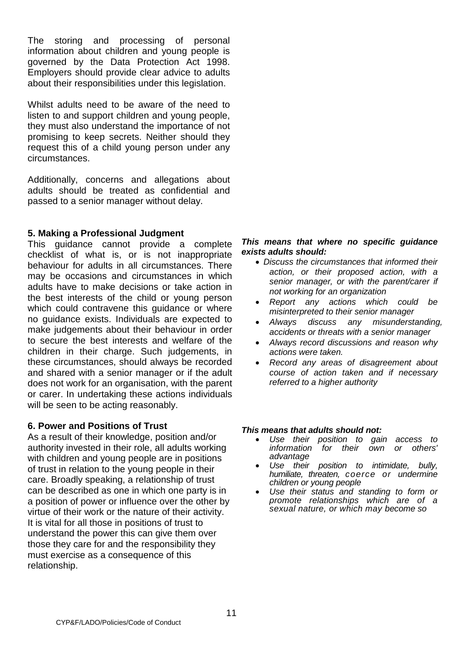The storing and processing of personal information about children and young people is governed by the Data Protection Act 1998. Employers should provide clear advice to adults about their responsibilities under this legislation.

Whilst adults need to be aware of the need to listen to and support children and young people, they must also understand the importance of not promising to keep secrets. Neither should they request this of a child young person under any circumstances.

Additionally, concerns and allegations about adults should be treated as confidential and passed to a senior manager without delay.

# **5. Making a Professional Judgment**

This guidance cannot provide a complete checklist of what is, or is not inappropriate behaviour for adults in all circumstances. There may be occasions and circumstances in which adults have to make decisions or take action in the best interests of the child or young person which could contravene this guidance or where no guidance exists. Individuals are expected to make judgements about their behaviour in order to secure the best interests and welfare of the children in their charge. Such judgements, in these circumstances, should always be recorded and shared with a senior manager or if the adult does not work for an organisation, with the parent or carer. In undertaking these actions individuals will be seen to be acting reasonably.

#### **6. Power and Positions of Trust**

As a result of their knowledge, position and/or authority invested in their role, all adults working with children and young people are in positions of trust in relation to the young people in their care. Broadly speaking, a relationship of trust can be described as one in which one party is in a position of power or influence over the other by virtue of their work or the nature of their activity. It is vital for all those in positions of trust to understand the power this can give them over those they care for and the responsibility they must exercise as a consequence of this relationship.

#### *This means that where no specific guidance exists adults should:*

- *Discuss the circumstances that informed their action, or their proposed action, with a senior manager, or with the parent/carer if not working for an organization*
- *Report any actions which could be misinterpreted to their senior manager*
- *Always discuss any misunderstanding, accidents or threats with a senior manager*
- *Always record discussions and reason why actions were taken.*
- *Record any areas of disagreement about course of action taken and if necessary referred to a higher authority*

- *Use their position to gain access to information for their own or others' advantage*
- *Use their position to intimidate, bully, humiliate, threaten, coerce or undermine children or young people*
- *Use their status and standing to form or promote relationships which are of a sexual nature, or which may become so*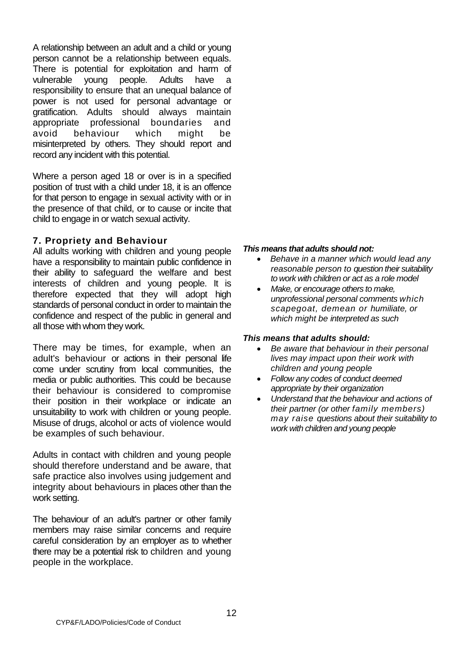A relationship between an adult and a child or young person cannot be a relationship between equals. There is potential for exploitation and harm of vulnerable young people. Adults have a responsibility to ensure that an unequal balance of power is not used for personal advantage or gratification. Adults should always maintain appropriate professional boundaries and avoid behaviour which might be misinterpreted by others. They should report and record any incident with this potential.

Where a person aged 18 or over is in a specified position of trust with a child under 18, it is an offence for that person to engage in sexual activity with or in the presence of that child, or to cause or incite that child to engage in or watch sexual activity.

# **7. Propriety and Behaviour**

All adults working with children and young people have a responsibility to maintain public confidence in their ability to safeguard the welfare and best interests of children and young people. It is therefore expected that they will adopt high standards of personal conduct in order to maintain the confidence and respect of the public in general and all those with whom they work.

There may be times, for example, when an adult's behaviour or actions in their personal life come under scrutiny from local communities, the media or public authorities. This could be because their behaviour is considered to compromise their position in their workplace or indicate an unsuitability to work with children or young people. Misuse of drugs, alcohol or acts of violence would be examples of such behaviour.

Adults in contact with children and young people should therefore understand and be aware, that safe practice also involves using judgement and integrity about behaviours in places other than the work setting.

The behaviour of an adult's partner or other family members may raise similar concerns and require careful consideration by an employer as to whether there may be a potential risk to children and young people in the workplace.

# *This means that adults should not:*

- *Behave in a manner which would lead any reasonable person to question their suitability to work with children or act as a role model*
- *Make, or encourage others to make, unprofessional personal comments which scapegoat, demean or humiliate, or which might be interpreted as such*

- *Be aware that behaviour in their personal lives may impact upon their work with children and young people*
- *Follow any codes of conduct deemed appropriate by their organization*
- *Understand that the behaviour and actions of their partner (or other family members) may raise questions about their suitability to work with children and young people*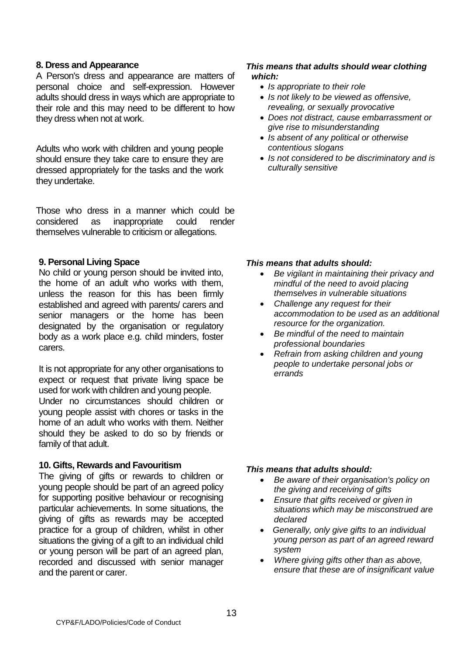#### **8. Dress and Appearance**

A Person's dress and appearance are matters of personal choice and self-expression. However adults should dress in ways which are appropriate to their role and this may need to be different to how they dress when not at work.

Adults who work with children and young people should ensure they take care to ensure they are dressed appropriately for the tasks and the work they undertake.

Those who dress in a manner which could be considered as inappropriate could render themselves vulnerable to criticism or allegations.

#### **9. Personal Living Space**

No child or young person should be invited into, the home of an adult who works with them, unless the reason for this has been firmly established and agreed with parents/ carers and senior managers or the home has been designated by the organisation or regulatory body as a work place e.g. child minders, foster carers.

It is not appropriate for any other organisations to expect or request that private living space be used for work with children and young people.

Under no circumstances should children or young people assist with chores or tasks in the home of an adult who works with them. Neither should they be asked to do so by friends or family of that adult.

#### **10. Gifts, Rewards and Favouritism**

The giving of gifts or rewards to children or young people should be part of an agreed policy for supporting positive behaviour or recognising particular achievements. In some situations, the giving of gifts as rewards may be accepted practice for a group of children, whilst in other situations the giving of a gift to an individual child or young person will be part of an agreed plan, recorded and discussed with senior manager and the parent or carer.

#### *This means that adults should wear clothing which:*

- *Is appropriate to their role*
- *Is not likely to be viewed as offensive, revealing, or sexually provocative*
- *Does not distract, cause embarrassment or give rise to misunderstanding*
- *Is absent of any political or otherwise contentious slogans*
- *Is not considered to be discriminatory and is culturally sensitive*

#### *This means that adults should:*

- *Be vigilant in maintaining their privacy and mindful of the need to avoid placing themselves in vulnerable situations*
- *Challenge any request for their accommodation to be used as an additional resource for the organization.*
- *Be mindful of the need to maintain professional boundaries*
- *Refrain from asking children and young people to undertake personal jobs or errands*

- *Be aware of their organisation's policy on the giving and receiving of gifts*
- *Ensure that gifts received or given in situations which may be misconstrued are declared*
- • *Generally, only give gifts to an individual young person as part of an agreed reward system*
- *Where giving gifts other than as above, ensure that these are of insignificant value*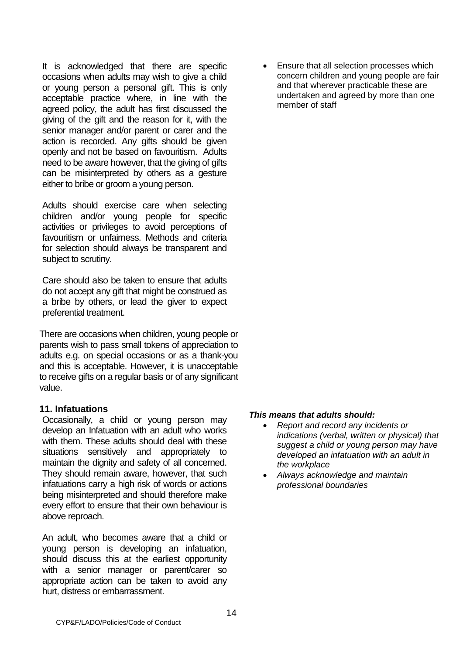It is acknowledged that there are specific occasions when adults may wish to give a child or young person a personal gift. This is only acceptable practice where, in line with the agreed policy, the adult has first discussed the giving of the gift and the reason for it, with the senior manager and/or parent or carer and the action is recorded. Any gifts should be given openly and not be based on favouritism. Adults need to be aware however, that the giving of gifts can be misinterpreted by others as a gesture either to bribe or groom a young person.

Adults should exercise care when selecting children and/or young people for specific activities or privileges to avoid perceptions of favouritism or unfairness. Methods and criteria for selection should always be transparent and subject to scrutiny.

Care should also be taken to ensure that adults do not accept any gift that might be construed as a bribe by others, or lead the giver to expect preferential treatment.

There are occasions when children, young people or parents wish to pass small tokens of appreciation to adults e.g. on special occasions or as a thank-you and this is acceptable. However, it is unacceptable to receive gifts on a regular basis or of any significant value.

# **11. Infatuations**

Occasionally, a child or young person may develop an Infatuation with an adult who works with them. These adults should deal with these situations sensitively and appropriately to maintain the dignity and safety of all concerned. They should remain aware, however, that such infatuations carry a high risk of words or actions being misinterpreted and should therefore make every effort to ensure that their own behaviour is above reproach.

An adult, who becomes aware that a child or young person is developing an infatuation, should discuss this at the earliest opportunity with a senior manager or parent/carer so appropriate action can be taken to avoid any hurt, distress or embarrassment.

• Ensure that all selection processes which concern children and young people are fair and that wherever practicable these are undertaken and agreed by more than one member of staff

- *Report and record any incidents or indications (verbal, written or physical) that suggest a child or young person may have developed an infatuation with an adult in the workplace*
- *Always acknowledge and maintain professional boundaries*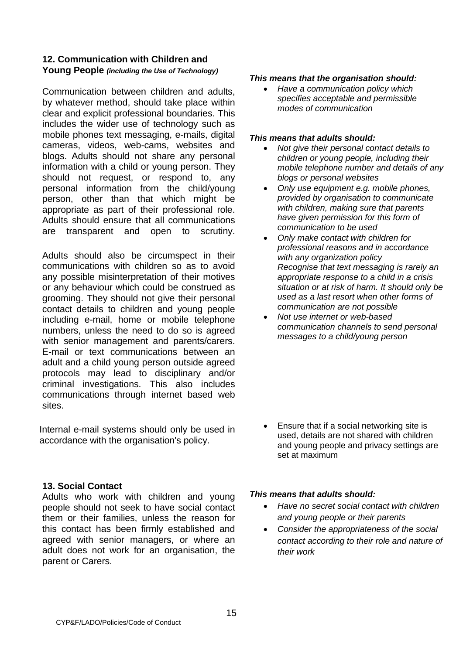# **12. Communication with Children and Young People** *(including the Use of Technology)*

Communication between children and adults, by whatever method, should take place within clear and explicit professional boundaries. This includes the wider use of technology such as mobile phones text messaging, e-mails, digital cameras, videos, web-cams, websites and blogs. Adults should not share any personal information with a child or young person. They should not request, or respond to, any personal information from the child/young person, other than that which might be appropriate as part of their professional role. Adults should ensure that all communications are transparent and open to scrutiny.

Adults should also be circumspect in their communications with children so as to avoid any possible misinterpretation of their motives or any behaviour which could be construed as grooming. They should not give their personal contact details to children and young people including e-mail, home or mobile telephone numbers, unless the need to do so is agreed with senior management and parents/carers. E-mail or text communications between an adult and a child young person outside agreed protocols may lead to disciplinary and/or criminal investigations. This also includes communications through internet based web sites.

Internal e-mail systems should only be used in accordance with the organisation's policy.

# **13. Social Contact**

Adults who work with children and young people should not seek to have social contact them or their families, unless the reason for this contact has been firmly established and agreed with senior managers, or where an adult does not work for an organisation, the parent or Carers.

#### *This means that the organisation should:*

• *Have a communication policy which specifies acceptable and permissible modes of communication*

#### *This means that adults should:*

- *Not give their personal contact details to children or young people, including their mobile telephone number and details of any blogs or personal websites*
- *Only use equipment e.g. mobile phones, provided by organisation to communicate with children, making sure that parents have given permission for this form of communication to be used*
- *Only make contact with children for professional reasons and in accordance with any organization policy Recognise that text messaging is rarely an appropriate response to a child in a crisis situation or at risk of harm. It should only be used as a last resort when other forms of communication are not possible*
- *Not use internet or web-based communication channels to send personal messages to a child/young person*

• Ensure that if a social networking site is used, details are not shared with children and young people and privacy settings are set at maximum

- *Have no secret social contact with children and young people or their parents*
- *Consider the appropriateness of the social contact according to their role and nature of their work*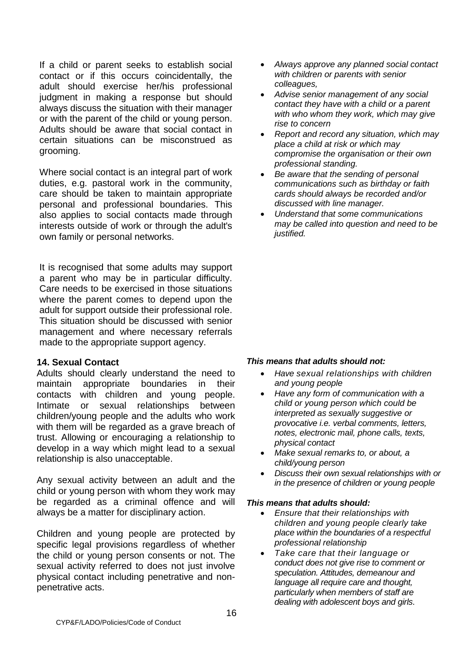If a child or parent seeks to establish social contact or if this occurs coincidentally, the adult should exercise her/his professional judgment in making a response but should always discuss the situation with their manager or with the parent of the child or young person. Adults should be aware that social contact in certain situations can be misconstrued as grooming.

Where social contact is an integral part of work duties, e.g. pastoral work in the community, care should be taken to maintain appropriate personal and professional boundaries. This also applies to social contacts made through interests outside of work or through the adult's own family or personal networks.

It is recognised that some adults may support a parent who may be in particular difficulty. Care needs to be exercised in those situations where the parent comes to depend upon the adult for support outside their professional role. This situation should be discussed with senior management and where necessary referrals made to the appropriate support agency.

#### **14. Sexual Contact**

Adults should clearly understand the need to maintain appropriate boundaries in their contacts with children and young people. Intimate or sexual relationships between children/young people and the adults who work with them will be regarded as a grave breach of trust. Allowing or encouraging a relationship to develop in a way which might lead to a sexual relationship is also unacceptable.

Any sexual activity between an adult and the child or young person with whom they work may be regarded as a criminal offence and will always be a matter for disciplinary action.

Children and young people are protected by specific legal provisions regardless of whether the child or young person consents or not. The sexual activity referred to does not just involve physical contact including penetrative and nonpenetrative acts.

- *Always approve any planned social contact with children or parents with senior colleagues,*
- *Advise senior management of any social contact they have with a child or a parent with who whom they work, which may give rise to concern*
- *Report and record any situation, which may place a child at risk or which may compromise the organisation or their own professional standing.*
- *Be aware that the sending of personal communications such as birthday or faith cards should always be recorded and/or discussed with line manager.*
- *Understand that some communications may be called into question and need to be justified.*

# *This means that adults should not:*

- *Have sexual relationships with children and young people*
- *Have any form of communication with a child or young person which could be interpreted as sexually suggestive or provocative i.e. verbal comments, letters, notes, electronic mail, phone calls, texts, physical contact*
- *Make sexual remarks to, or about, a child/young person*
- *Discuss their own sexual relationships with or in the presence of children or young people*

- *Ensure that their relationships with children and young people clearly take place within the boundaries of a respectful professional relationship*
- *Take care that their language or conduct does not give rise to comment or speculation. Attitudes, demeanour and language all require care and thought, particularly when members of staff are dealing with adolescent boys and girls*.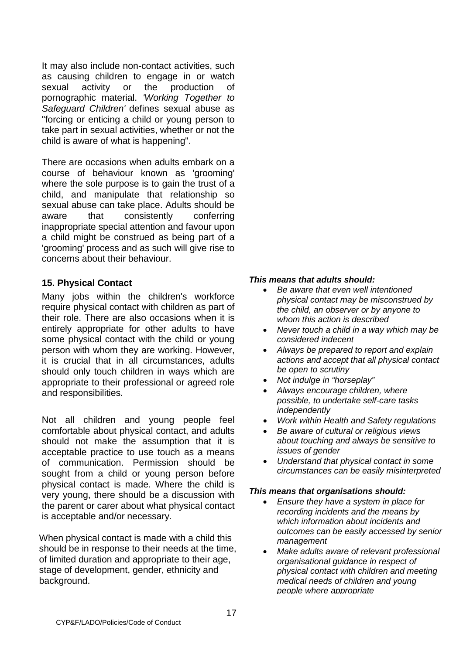It may also include non-contact activities, such as causing children to engage in or watch sexual activity or the production of pornographic material. *'Working Together to Safeguard Children'* defines sexual abuse as "forcing or enticing a child or young person to take part in sexual activities, whether or not the child is aware of what is happening".

There are occasions when adults embark on a course of behaviour known as 'grooming' where the sole purpose is to gain the trust of a child, and manipulate that relationship so sexual abuse can take place. Adults should be aware that consistently conferring inappropriate special attention and favour upon a child might be construed as being part of a 'grooming' process and as such will give rise to concerns about their behaviour.

# **15. Physical Contact**

Many jobs within the children's workforce require physical contact with children as part of their role. There are also occasions when it is entirely appropriate for other adults to have some physical contact with the child or young person with whom they are working. However, it is crucial that in all circumstances, adults should only touch children in ways which are appropriate to their professional or agreed role and responsibilities.

Not all children and young people feel comfortable about physical contact, and adults should not make the assumption that it is acceptable practice to use touch as a means of communication. Permission should be sought from a child or young person before physical contact is made. Where the child is very young, there should be a discussion with the parent or carer about what physical contact is acceptable and/or necessary.

When physical contact is made with a child this should be in response to their needs at the time, of limited duration and appropriate to their age, stage of development, gender, ethnicity and background.

# *This means that adults should:*

- *Be aware that even well intentioned physical contact may be misconstrued by the child, an observer or by anyone to whom this action is described*
- *Never touch a child in a way which may be considered indecent*
- *Always be prepared to report and explain actions and accept that all physical contact be open to scrutiny*
- *Not indulge in "horseplay"*
- *Always encourage children, where possible, to undertake self-care tasks independently*
- *Work within Health and Safety regulations*
- *Be aware of cultural or religious views about touching and always be sensitive to issues of gender*
- *Understand that physical contact in some circumstances can be easily misinterpreted*

- *Ensure they have a system in place for recording incidents and the means by which information about incidents and outcomes can be easily accessed by senior management*
- *Make adults aware of relevant professional organisational guidance in respect of physical contact with children and meeting medical needs of children and young people where appropriate*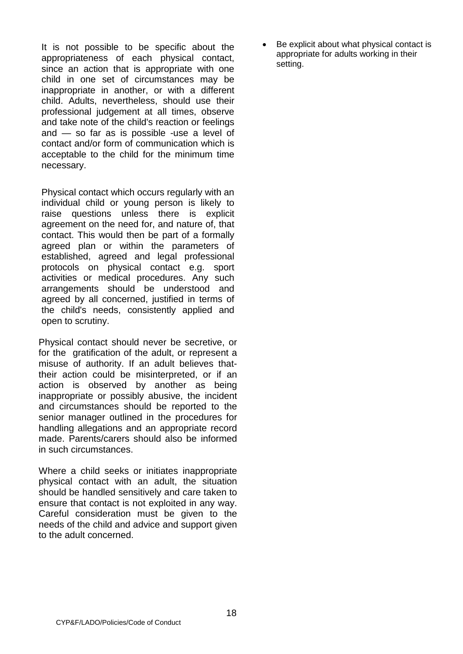It is not possible to be specific about the appropriateness of each physical contact, since an action that is appropriate with one child in one set of circumstances may be inappropriate in another, or with a different child. Adults, nevertheless, should use their professional judgement at all times, observe and take note of the child's reaction or feelings and — so far as is possible -use a level of contact and/or form of communication which is acceptable to the child for the minimum time necessary.

Physical contact which occurs regularly with an individual child or young person is likely to raise questions unless there is explicit agreement on the need for, and nature of, that contact. This would then be part of a formally agreed plan or within the parameters of established, agreed and legal professional protocols on physical contact e.g. sport activities or medical procedures. Any such arrangements should be understood and agreed by all concerned, justified in terms of the child's needs, consistently applied and open to scrutiny.

Physical contact should never be secretive, or for the gratification of the adult, or represent a misuse of authority. If an adult believes thattheir action could be misinterpreted, or if an action is observed by another as being inappropriate or possibly abusive, the incident and circumstances should be reported to the senior manager outlined in the procedures for handling allegations and an appropriate record made. Parents/carers should also be informed in such circumstances.

Where a child seeks or initiates inappropriate physical contact with an adult, the situation should be handled sensitively and care taken to ensure that contact is not exploited in any way. Careful consideration must be given to the needs of the child and advice and support given to the adult concerned.

Be explicit about what physical contact is appropriate for adults working in their setting.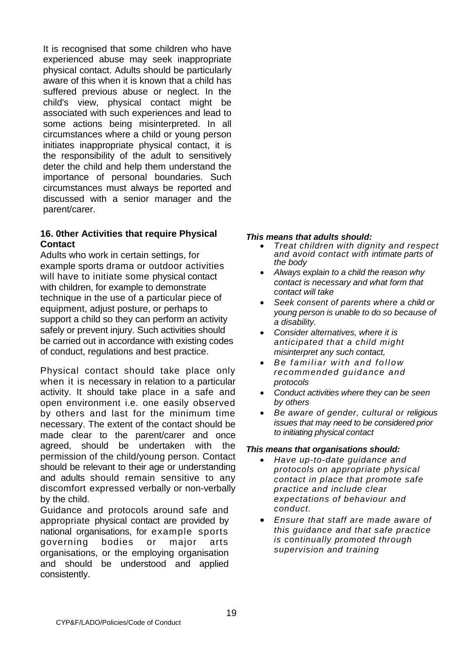It is recognised that some children who have experienced abuse may seek inappropriate physical contact. Adults should be particularly aware of this when it is known that a child has suffered previous abuse or neglect. In the child's view, physical contact might be associated with such experiences and lead to some actions being misinterpreted. In all circumstances where a child or young person initiates inappropriate physical contact, it is the responsibility of the adult to sensitively deter the child and help them understand the importance of personal boundaries. Such circumstances must always be reported and discussed with a senior manager and the parent/carer.

# **16. 0ther Activities that require Physical Contact**

Adults who work in certain settings, for example sports drama or outdoor activities will have to initiate some physical contact with children, for example to demonstrate technique in the use of a particular piece of equipment, adjust posture, or perhaps to support a child so they can perform an activity safely or prevent injury. Such activities should be carried out in accordance with existing codes of conduct, regulations and best practice.

Physical contact should take place only when it is necessary in relation to a particular activity. It should take place in a safe and open environment i.e. one easily observed by others and last for the minimum time necessary. The extent of the contact should be made clear to the parent/carer and once agreed, should be undertaken with the permission of the child/young person. Contact should be relevant to their age or understanding and adults should remain sensitive to any discomfort expressed verbally or non-verbally by the child.

Guidance and protocols around safe and appropriate physical contact are provided by national organisations, for example sports governing bodies or major arts organisations, or the employing organisation and should be understood and applied consistently.

#### *This means that adults should:*

- *Treat children with dignity and respect and avoid contact with intimate parts of the body*
- *Always explain to a child the reason why contact is necessary and what form that contact will take*
- *Seek consent of parents where a child or young person is unable to do so because of a disability.*
- *Consider alternatives, where it is anticipated that a child might misinterpret any such contact,*
- *Be familiar with and follow recommended guidance and protocols*
- *Conduct activities where they can be seen by others*
- *Be aware of gender, cultural or religious issues that may need to be considered prior to initiating physical contact*

- *Have up-to-date guidance and protocols on appropriate physical contact in place that promote safe practice and include clear expectations of behaviour and conduct.*
- *Ensure that staff are made aware of this guidance and that safe practice is continually promoted through supervision and training*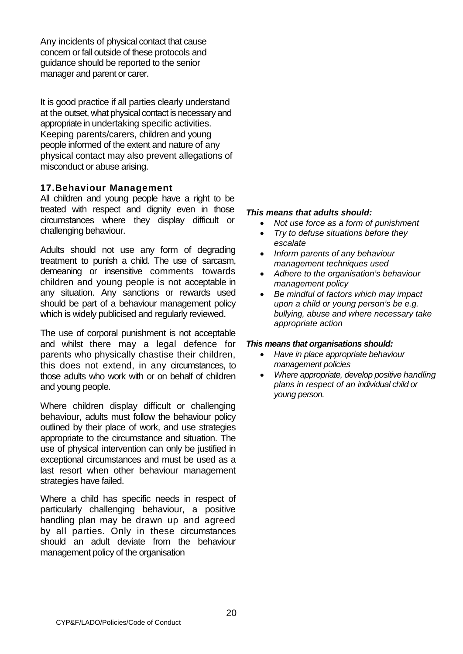Any incidents of physical contact that cause concern or fall outside of these protocols and guidance should be reported to the senior manager and parent or carer.

It is good practice if all parties clearly understand at the outset, what physical contact is necessary and appropriate in undertaking specific activities. Keeping parents/carers, children and young people informed of the extent and nature of any physical contact may also prevent allegations of misconduct or abuse arising.

# **17.Behaviour Management**

All children and young people have a right to be treated with respect and dignity even in those circumstances where they display difficult or challenging behaviour.

Adults should not use any form of degrading treatment to punish a child. The use of sarcasm, demeaning or insensitive comments towards children and young people is not acceptable in any situation. Any sanctions or rewards used should be part of a behaviour management policy which is widely publicised and regularly reviewed.

The use of corporal punishment is not acceptable and whilst there may a legal defence for parents who physically chastise their children, this does not extend, in any circumstances, to those adults who work with or on behalf of children and young people.

Where children display difficult or challenging behaviour, adults must follow the behaviour policy outlined by their place of work, and use strategies appropriate to the circumstance and situation. The use of physical intervention can only be justified in exceptional circumstances and must be used as a last resort when other behaviour management strategies have failed.

Where a child has specific needs in respect of particularly challenging behaviour, a positive handling plan may be drawn up and agreed by all parties. Only in these circumstances should an adult deviate from the behaviour management policy of the organisation

#### *This means that adults should:*

- *Not use force as a form of punishment*
- *Try to defuse situations before they escalate*
- *Inform parents of any behaviour management techniques used*
- *Adhere to the organisation's behaviour management policy*
- *Be mindful of factors which may impact upon a child or young person's be e.g. bullying, abuse and where necessary take appropriate action*

- *Have in place appropriate behaviour management policies*
- *Where appropriate, develop positive handling plans in respect of an individual child or young person.*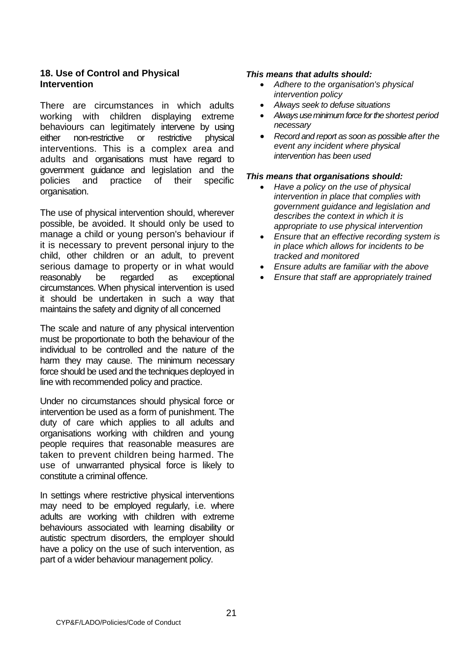# **18. Use of Control and Physical Intervention**

There are circumstances in which adults working with children displaying extreme behaviours can legitimately intervene by using either non-restrictive or restrictive physical interventions. This is a complex area and adults and organisations must have regard to government guidance and legislation and the policies and practice of their specific organisation.

The use of physical intervention should, wherever possible, be avoided. It should only be used to manage a child or young person's behaviour if it is necessary to prevent personal injury to the child, other children or an adult, to prevent serious damage to property or in what would reasonably be regarded as exceptional circumstances. When physical intervention is used it should be undertaken in such a way that maintains the safety and dignity of all concerned

The scale and nature of any physical intervention must be proportionate to both the behaviour of the individual to be controlled and the nature of the harm they may cause. The minimum necessary force should be used and the techniques deployed in line with recommended policy and practice.

Under no circumstances should physical force or intervention be used as a form of punishment. The duty of care which applies to all adults and organisations working with children and young people requires that reasonable measures are taken to prevent children being harmed. The use of unwarranted physical force is likely to constitute a criminal offence.

In settings where restrictive physical interventions may need to be employed regularly, i.e. where adults are working with children with extreme behaviours associated with learning disability or autistic spectrum disorders, the employer should have a policy on the use of such intervention, as part of a wider behaviour management policy.

#### *This means that adults should:*

- *Adhere to the organisation's physical intervention policy*
- *Always seek to defuse situations*
- *Always use minimum force for the shortest period necessary*
- *Record and report as soon as possible after the event any incident where physical intervention has been used*

- *Have a policy on the use of physical intervention in place that complies with government guidance and legislation and describes the context in which it is appropriate to use physical intervention*
- *Ensure that an effective recording system is in place which allows for incidents to be tracked and monitored*
- *Ensure adults are familiar with the above*
- *Ensure that staff are appropriately trained*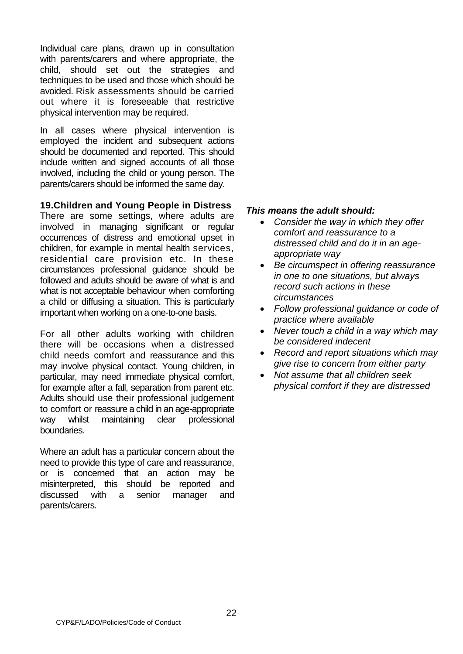Individual care plans, drawn up in consultation with parents/carers and where appropriate, the child, should set out the strategies and techniques to be used and those which should be avoided. Risk assessments should be carried out where it is foreseeable that restrictive physical intervention may be required.

In all cases where physical intervention is employed the incident and subsequent actions should be documented and reported. This should include written and signed accounts of all those involved, including the child or young person. The parents/carers should be informed the same day.

# **19.Children and Young People in Distress**

There are some settings, where adults are involved in managing significant or regular occurrences of distress and emotional upset in children, for example in mental health services, residential care provision etc. In these circumstances professional guidance should be followed and adults should be aware of what is and what is not acceptable behaviour when comforting a child or diffusing a situation. This is particularly important when working on a one-to-one basis.

For all other adults working with children there will be occasions when a distressed child needs comfort and reassurance and this may involve physical contact. Young children, in particular, may need immediate physical comfort, for example after a fall, separation from parent etc. Adults should use their professional judgement to comfort or reassure a child in an age-appropriate way whilst maintaining clear professional boundaries.

Where an adult has a particular concern about the need to provide this type of care and reassurance, or is concerned that an action may be misinterpreted, this should be reported and discussed with a senior manager and parents/carers.

- *Consider the way in which they offer comfort and reassurance to a distressed child and do it in an ageappropriate way*
- *Be circumspect in offering reassurance in one to one situations, but always record such actions in these circumstances*
- *Follow professional guidance or code of practice where available*
- *Never touch a child in a way which may be considered indecent*
- *Record and report situations which may give rise to concern from either party*
- *Not assume that all children seek physical comfort if they are distressed*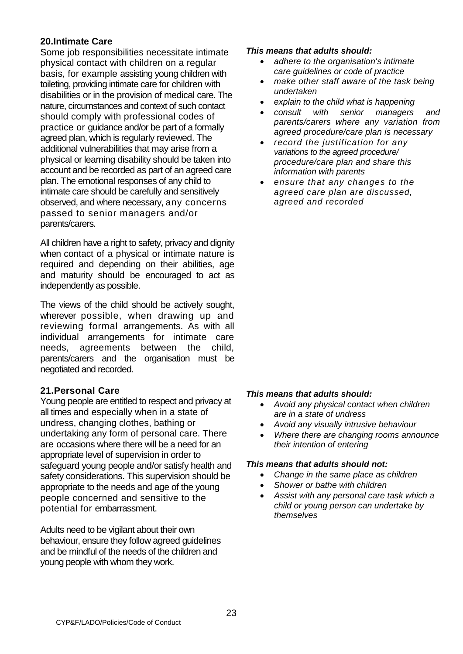# **20.Intimate Care**

Some job responsibilities necessitate intimate physical contact with children on a regular basis, for example assisting young children with toileting, providing intimate care for children with disabilities or in the provision of medical care. The nature, circumstances and context of such contact should comply with professional codes of practice or guidance and/or be part of a formally agreed plan, which is regularly reviewed. The additional vulnerabilities that may arise from a physical or learning disability should be taken into account and be recorded as part of an agreed care plan. The emotional responses of any child to intimate care should be carefully and sensitively observed, and where necessary, any concerns passed to senior managers and/or parents/carers.

All children have a right to safety, privacy and dignity when contact of a physical or intimate nature is required and depending on their abilities, age and maturity should be encouraged to act as independently as possible.

The views of the child should be actively sought, wherever possible, when drawing up and reviewing formal arrangements. As with all individual arrangements for intimate care needs, agreements between the child, parents/carers and the organisation must be negotiated and recorded.

# **21.Personal Care**

Young people are entitled to respect and privacy at all times and especially when in a state of undress, changing clothes, bathing or undertaking any form of personal care. There are occasions where there will be a need for an appropriate level of supervision in order to safeguard young people and/or satisfy health and safety considerations. This supervision should be appropriate to the needs and age of the young people concerned and sensitive to the potential for embarrassment.

Adults need to be vigilant about their own behaviour, ensure they follow agreed guidelines and be mindful of the needs of the children and young people with whom they work.

#### *This means that adults should:*

- *adhere to the organisation's intimate care guidelines or code of practice*
- *make other staff aware of the task being undertaken*
- *explain to the child what is happening*
- *consult with senior managers and parents/carers where any variation from agreed procedure/care plan is necessary*
- *record the justification for any variations to the agreed procedure/ procedure/care plan and share this information with parents*
- *ensure that any changes to the agreed care plan are discussed, agreed and recorded*

# *This means that adults should:*

- *Avoid any physical contact when children are in a state of undress*
- *Avoid any visually intrusive behaviour*
- *Where there are changing rooms announce their intention of entering*

- *Change in the same place as children*
- *Shower or bathe with children*
- *Assist with any personal care task which a child or young person can undertake by themselves*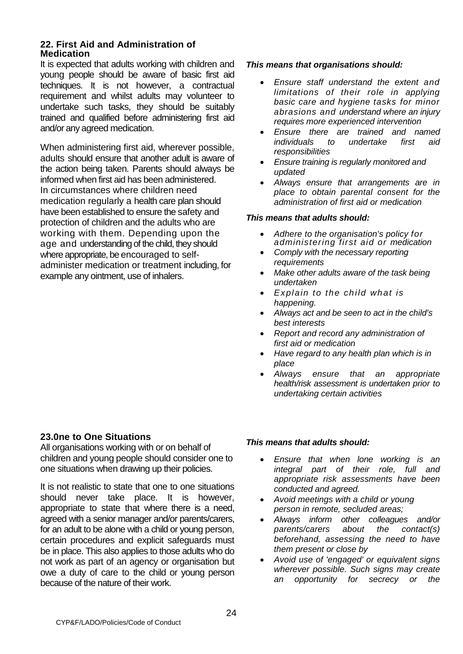#### **22. First Aid and Administration of Medication**

It is expected that adults working with children and young people should be aware of basic first aid techniques. It is not however, a contractual requirement and whilst adults may volunteer to undertake such tasks, they should be suitably trained and qualified before administering first aid and/or any agreed medication.

When administering first aid, wherever possible, adults should ensure that another adult is aware of the action being taken. Parents should always be informed when first aid has been administered. In circumstances where children need medication regularly a health care plan should have been established to ensure the safety and protection of children and the adults who are working with them. Depending upon the age and understanding of the child, they should where appropriate, be encouraged to selfadminister medication or treatment including, for example any ointment, use of inhalers.

#### *This means that organisations should:*

- *Ensure staff understand the extent and limitations of their role in applying basic care and hygiene tasks for minor abrasions and understand where an injury requires more experienced intervention*
- *Ensure there are trained and named individuals to undertake first aid responsibilities*
- *Ensure training is regularly monitored and updated*
- *Always ensure that arrangements are in place to obtain parental consent for the administration of first aid or medication*

#### *This means that adults should:*

- *Adhere to the organisation's policy for administering first aid or medication*
- *Comply with the necessary reporting requirements*
- *Make other adults aware of the task being undertaken*
- *Explain to the child what is happening.*
- *Always act and be seen to act in the child's best interests*
- *Report and record any administration of first aid or medication*
- *Have regard to any health plan which is in place*
- *Always ensure that an appropriate health/risk assessment is undertaken prior to undertaking certain activities*

# **23.0ne to One Situations**

All organisations working with or on behalf of children and young people should consider one to one situations when drawing up their policies.

It is not realistic to state that one to one situations should never take place. It is however, appropriate to state that where there is a need, agreed with a senior manager and/or parents/carers, for an adult to be alone with a child or young person, certain procedures and explicit safeguards must be in place. This also applies to those adults who do not work as part of an agency or organisation but owe a duty of care to the child or young person because of the nature of their work.

- *Ensure that when lone working is an integral part of their role, full and appropriate risk assessments have been conducted and agreed.*
- *Avoid meetings with a child or young person in remote, secluded areas;*
- *Always inform other colleagues and/or parents/carers about the contact(s) beforehand, assessing the need to have them present or close by*
- *Avoid use of 'engaged' or equivalent signs wherever possible. Such signs may create an opportunity for secrecy or the*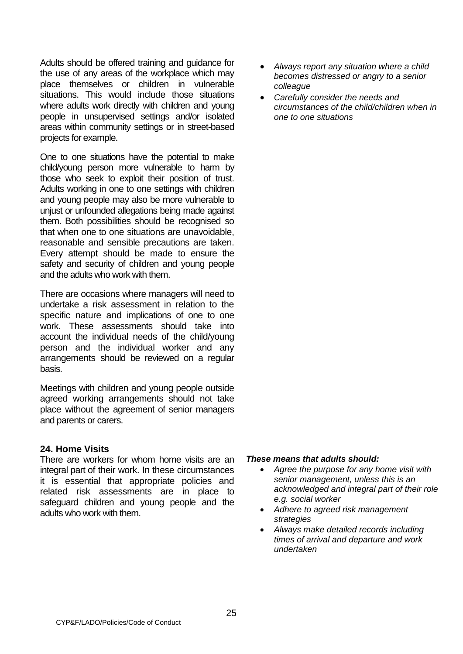Adults should be offered training and guidance for the use of any areas of the workplace which may place themselves or children in vulnerable situations. This would include those situations where adults work directly with children and young people in unsupervised settings and/or isolated areas within community settings or in street-based projects for example.

One to one situations have the potential to make child/young person more vulnerable to harm by those who seek to exploit their position of trust. Adults working in one to one settings with children and young people may also be more vulnerable to unjust or unfounded allegations being made against them. Both possibilities should be recognised so that when one to one situations are unavoidable, reasonable and sensible precautions are taken. Every attempt should be made to ensure the safety and security of children and young people and the adults who work with them.

There are occasions where managers will need to undertake a risk assessment in relation to the specific nature and implications of one to one work. These assessments should take into account the individual needs of the child/young person and the individual worker and any arrangements should be reviewed on a regular basis.

Meetings with children and young people outside agreed working arrangements should not take place without the agreement of senior managers and parents or carers.

# **24. Home Visits**

There are workers for whom home visits are an integral part of their work. In these circumstances it is essential that appropriate policies and related risk assessments are in place to safeguard children and young people and the adults who work with them.

- *Always report any situation where a child becomes distressed or angry to a senior colleague*
- *Carefully consider the needs and circumstances of the child/children when in one to one situations*

- *Agree the purpose for any home visit with senior management, unless this is an acknowledged and integral part of their role e.g. social worker*
- *Adhere to agreed risk management strategies*
- *Always make detailed records including times of arrival and departure and work undertaken*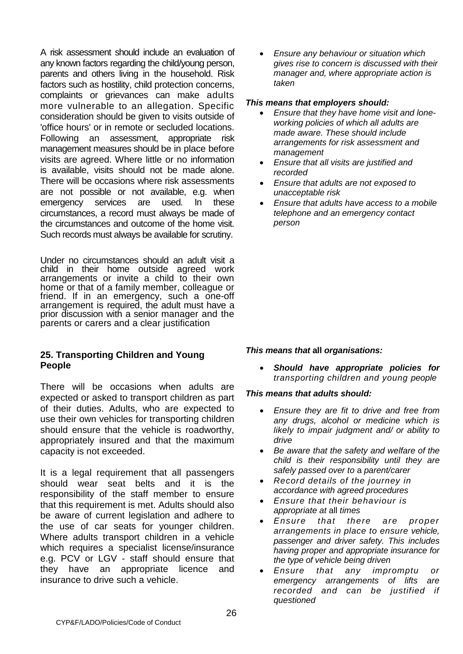A risk assessment should include an evaluation of any known factors regarding the child/young person, parents and others living in the household. Risk factors such as hostility, child protection concerns, complaints or grievances can make adults more vulnerable to an allegation. Specific consideration should be given to visits outside of 'office hours' or in remote or secluded locations. Following an assessment, appropriate risk management measures should be in place before visits are agreed. Where little or no information is available, visits should not be made alone. There will be occasions where risk assessments are not possible or not available, e.g. when emergency services are used. In these circumstances, a record must always be made of the circumstances and outcome of the home visit. Such records must always be available for scrutiny.

Under no circumstances should an adult visit a child in their home outside agreed work arrangements or invite a child to their own home or that of a family member, colleague or friend. If in an emergency, such a one-off arrangement is required, the adult must have a prior discussion with a senior manager and the parents or carers and a clear justification

# **25. Transporting Children and Young People**

There will be occasions when adults are expected or asked to transport children as part of their duties. Adults, who are expected to use their own vehicles for transporting children should ensure that the vehicle is roadworthy, appropriately insured and that the maximum capacity is not exceeded.

It is a legal requirement that all passengers should wear seat belts and it is the responsibility of the staff member to ensure that this requirement is met. Adults should also be aware of current legislation and adhere to the use of car seats for younger children. Where adults transport children in a vehicle which requires a specialist license/insurance e.g. PCV or LGV - staff should ensure that they have an appropriate licence and insurance to drive such a vehicle.

• *Ensure any behaviour or situation which gives rise to concern is discussed with their manager and, where appropriate action is taken*

#### *This means that employers should:*

- *Ensure that they have home visit and loneworking policies of which all adults are made aware. These should include arrangements for risk assessment and management*
- *Ensure that all visits are justified and recorded*
- *Ensure that adults are not exposed to unacceptable risk*
- *Ensure that adults have access to a mobile telephone and an emergency contact person*

# *This means that* **all** *organisations:*

• *Should have appropriate policies for transporting children and young people*

- *Ensure they are fit to drive and free from any drugs, alcohol or medicine which is likely to impair judgment and/ or ability to drive*
- *Be aware that the safety and welfare of the child is their responsibility until they are safely passed over to* a *parent/carer*
- *Record details of the journey in accordance with agreed procedures*
- *Ensure that their behaviour is appropriate at* all *times*
- *Ensure that there are proper arrangements in place to ensure vehicle, passenger and driver safety. This includes having proper and appropriate insurance for the type of vehicle being driven*
- *Ensure that any impromptu or emergency arrangements of lifts are recorded and can be justified if questioned*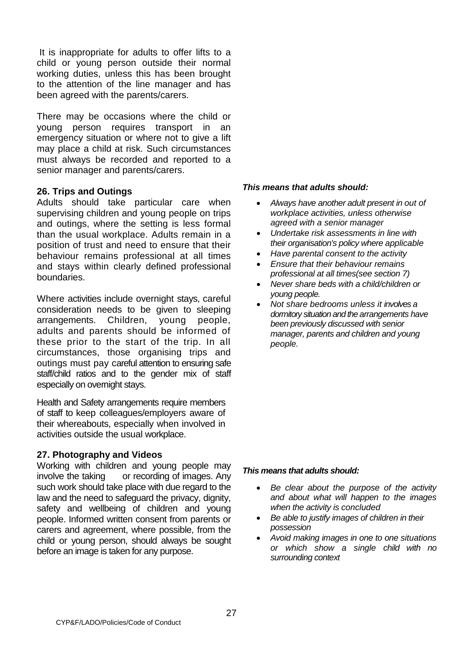It is inappropriate for adults to offer lifts to a child or young person outside their normal working duties, unless this has been brought to the attention of the line manager and has been agreed with the parents/carers.

There may be occasions where the child or young person requires transport in an emergency situation or where not to give a lift may place a child at risk. Such circumstances must always be recorded and reported to a senior manager and parents/carers.

#### **26. Trips and Outings**

Adults should take particular care when supervising children and young people on trips and outings, where the setting is less formal than the usual workplace. Adults remain in a position of trust and need to ensure that their behaviour remains professional at all times and stays within clearly defined professional boundaries.

Where activities include overnight stays, careful consideration needs to be given to sleeping arrangements. Children, young people, adults and parents should be informed of these prior to the start of the trip. In all circumstances, those organising trips and outings must pay careful attention to ensuring safe staff/child ratios and to the gender mix of staff especially on overnight stays.

Health and Safety arrangements require members of staff to keep colleagues/employers aware of their whereabouts, especially when involved in activities outside the usual workplace.

#### **27. Photography and Videos**

Working with children and young people may involve the taking or recording of images. Any such work should take place with due regard to the law and the need to safeguard the privacy, dignity, safety and wellbeing of children and young people. Informed written consent from parents or carers and agreement, where possible, from the child or young person, should always be sought before an image is taken for any purpose.

#### *This means that adults should:*

- *Always have another adult present in out of workplace activities, unless otherwise agreed with a senior manager*
- *Undertake risk assessments in line with their organisation's policy where applicable*
- *Have parental consent to the activity*
- *Ensure that their behaviour remains professional at all times(see section 7)*
- *Never share beds with a child/children or young people.*
- *Not share bedrooms unless it involves a dormitory situation and the arrangements have been previously discussed with senior manager, parents and children and young people.*

- *Be clear about the purpose of the activity and about what will happen to the images when the activity is concluded*
- *Be able to justify images of children in their possession*
- *Avoid making images in one to one situations or which show a single child with no surrounding context*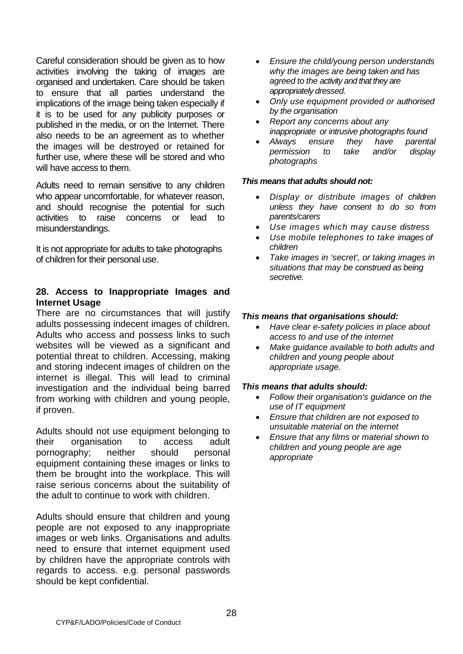Careful consideration should be given as to how activities involving the taking of images are organised and undertaken. Care should be taken to ensure that all parties understand the implications of the image being taken especially if it is to be used for any publicity purposes or published in the media, or on the Internet. There also needs to be an agreement as to whether the images will be destroyed or retained for further use, where these will be stored and who will have access to them.

Adults need to remain sensitive to any children who appear uncomfortable, for whatever reason, and should recognise the potential for such activities to raise concerns or lead to misunderstandings.

It is not appropriate for adults to take photographs of children for their personal use.

# **28. Access to Inappropriate Images and Internet Usage**

There are no circumstances that will justify adults possessing indecent images of children. Adults who access and possess links to such websites will be viewed as a significant and potential threat to children. Accessing, making and storing indecent images of children on the internet is illegal. This will lead to criminal investigation and the individual being barred from working with children and young people, if proven.

Adults should not use equipment belonging to their organisation to access adult pornography; neither should personal equipment containing these images or links to them be brought into the workplace. This will raise serious concerns about the suitability of the adult to continue to work with children.

Adults should ensure that children and young people are not exposed to any inappropriate images or web links. Organisations and adults need to ensure that internet equipment used by children have the appropriate controls with regards to access. e.g. personal passwords should be kept confidential.

- *Ensure the child/young person understands why the images are being taken and has agreed to the activity and that they are appropriately dressed.*
- *Only use equipment provided or authorised by the organisation*
- *Report any concerns about any inappropriate or intrusive photographs found*
- *Always ensure they have parental permission to take and/or display photographs*

#### *This means that adults should not:*

- *Display or distribute images of children unless they have consent to do so from parents/carers*
- *Use images which may cause distress*
- *Use mobile telephones to take images of children*
- *Take images in 'secret', or taking images in situations that may be construed as being secretive.*

#### *This means that organisations should:*

- *Have clear e-safety policies in place about access to and use of the internet*
- *Make guidance available to both adults and children and young people about appropriate usage.*

- *Follow their organisation's guidance on the use of IT equipment*
- *Ensure that children are not exposed to unsuitable material on the internet*
- *Ensure that any films or material shown to children and young people are age appropriate*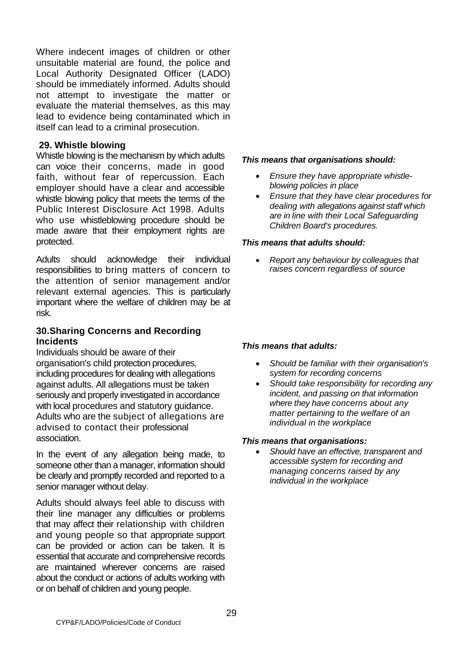Where indecent images of children or other unsuitable material are found, the police and Local Authority Designated Officer (LADO) should be immediately informed. Adults should not attempt to investigate the matter or evaluate the material themselves, as this may lead to evidence being contaminated which in itself can lead to a criminal prosecution.

#### **29. Whistle blowing**

Whistle blowing is the mechanism by which adults can voice their concerns, made in good faith, without fear of repercussion. Each employer should have a clear and accessible whistle blowing policy that meets the terms of the Public Interest Disclosure Act 1998. Adults who use whistleblowing procedure should be made aware that their employment rights are protected.

Adults should acknowledge their individual responsibilities to bring matters of concern to the attention of senior management and/or relevant external agencies. This is particularly important where the welfare of children may be at risk.

#### **30.Sharing Concerns and Recording Incidents**

Individuals should be aware of their organisation's child protection procedures, including procedures for dealing with allegations against adults. All allegations must be taken seriously and properly investigated in accordance with local procedures and statutory guidance. Adults who are the subject of allegations are advised to contact their professional association.

In the event of any allegation being made, to someone other than a manager, information should be clearly and promptly recorded and reported to a senior manager without delay.

Adults should always feel able to discuss with their line manager any difficulties or problems that may affect their relationship with children and young people so that appropriate support can be provided or action can be taken. It is essential that accurate and comprehensive records are maintained wherever concerns are raised about the conduct or actions of adults working with or on behalf of children and young people.

#### *This means that organisations should:*

- *Ensure they have appropriate whistleblowing policies in place*
- *Ensure that they have clear procedures for dealing with allegations against staff which are in line with their Local Safeguarding Children Board's procedures.*

#### *This means that adults should:*

• *Report any behaviour by colleagues that raises concern regardless of source*

# *This means that adults:*

- *Should be familiar with their organisation's system for recording concerns*
- *Should take responsibility for recording any incident, and passing on that information where they have concerns about any matter pertaining to the welfare of an individual in the workplace*

#### *This means that organisations:*

• *Should have an effective, transparent and accessible system for recording and managing concerns raised by any individual in the workplace*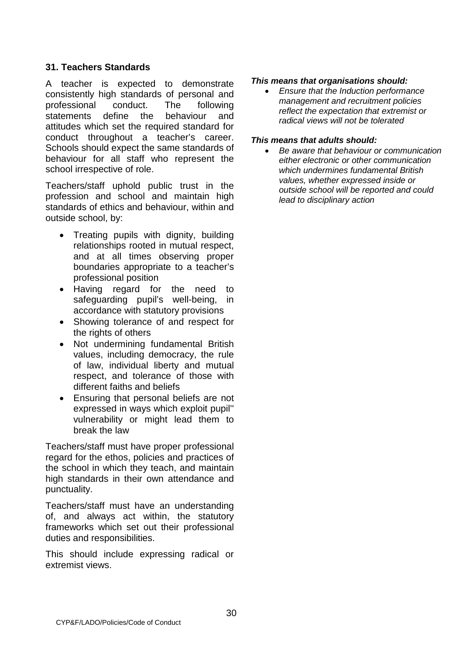# **31. Teachers Standards**

A teacher is expected to demonstrate consistently high standards of personal and professional conduct. The following statements define the behaviour and attitudes which set the required standard for conduct throughout a teacher's career. Schools should expect the same standards of behaviour for all staff who represent the school irrespective of role.

Teachers/staff uphold public trust in the profession and school and maintain high standards of ethics and behaviour, within and outside school, by:

- Treating pupils with dignity, building relationships rooted in mutual respect, and at all times observing proper boundaries appropriate to a teacher's professional position
- Having regard for the need to safeguarding pupil's well-being, in accordance with statutory provisions
- Showing tolerance of and respect for the rights of others
- Not undermining fundamental British values, including democracy, the rule of law, individual liberty and mutual respect, and tolerance of those with different faiths and beliefs
- Ensuring that personal beliefs are not expressed in ways which exploit pupil'' vulnerability or might lead them to break the law

Teachers/staff must have proper professional regard for the ethos, policies and practices of the school in which they teach, and maintain high standards in their own attendance and punctuality.

Teachers/staff must have an understanding of, and always act within, the statutory frameworks which set out their professional duties and responsibilities.

This should include expressing radical or extremist views.

#### *This means that organisations should:*

• *Ensure that the Induction performance management and recruitment policies reflect the expectation that extremist or radical views will not be tolerated*

#### *This means that adults should:*

• *Be aware that behaviour or communication either electronic or other communication which undermines fundamental British values, whether expressed inside or outside school will be reported and could lead to disciplinary action*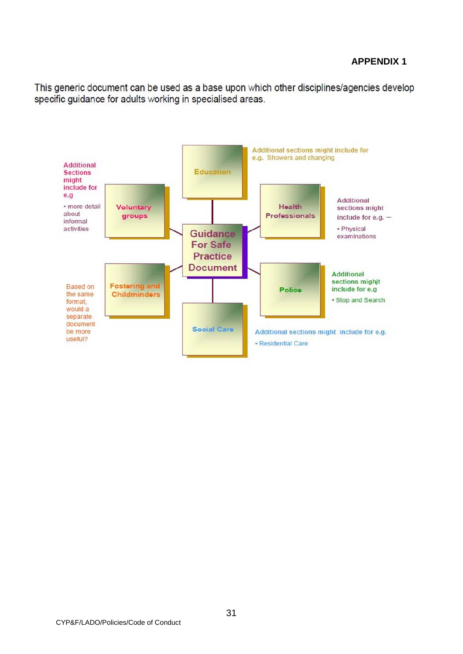# **APPENDIX 1**

This generic document can be used as a base upon which other disciplines/agencies develop specific quidance for adults working in specialised areas.